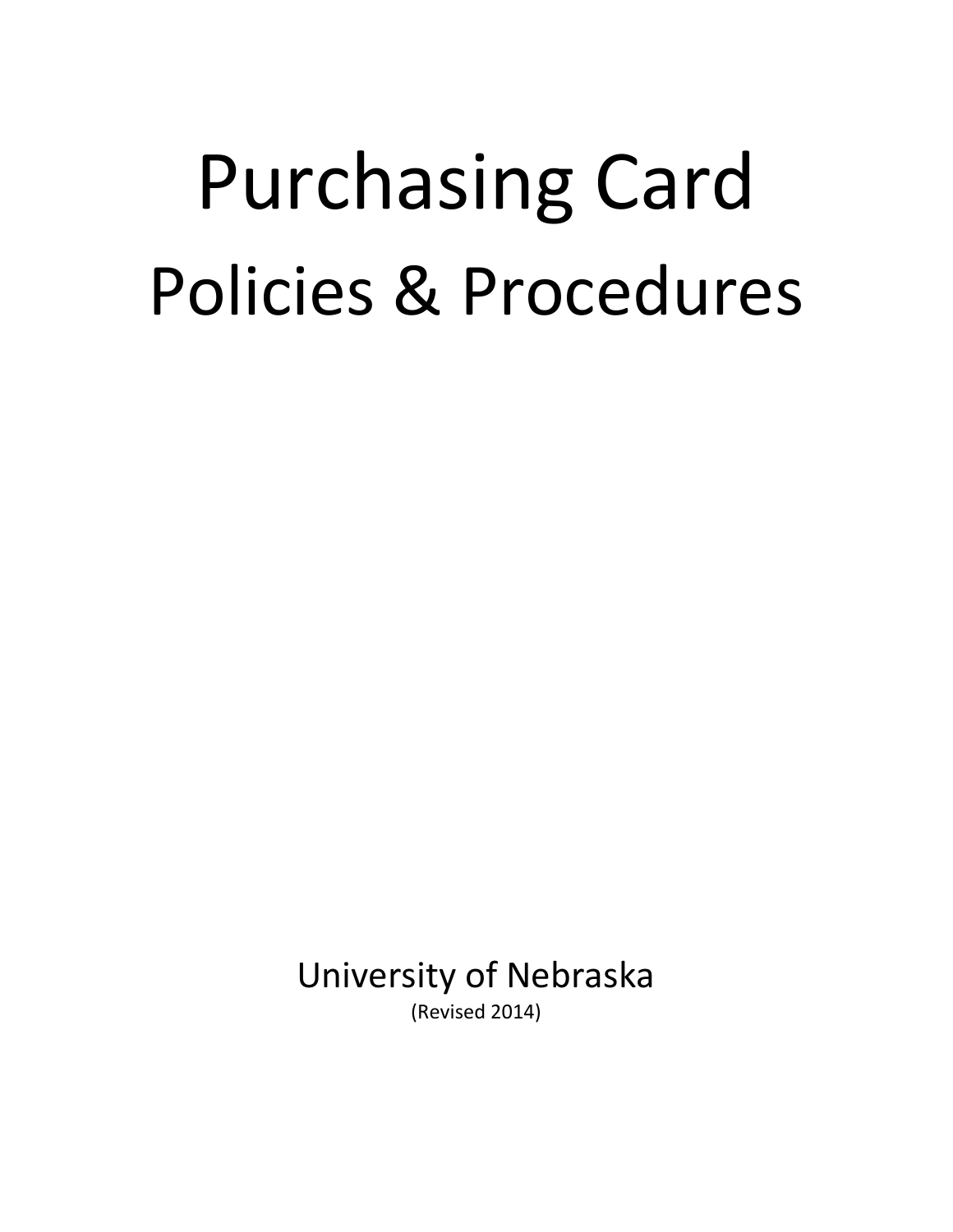# Purchasing Card Policies & Procedures

University of Nebraska (Revised 2014)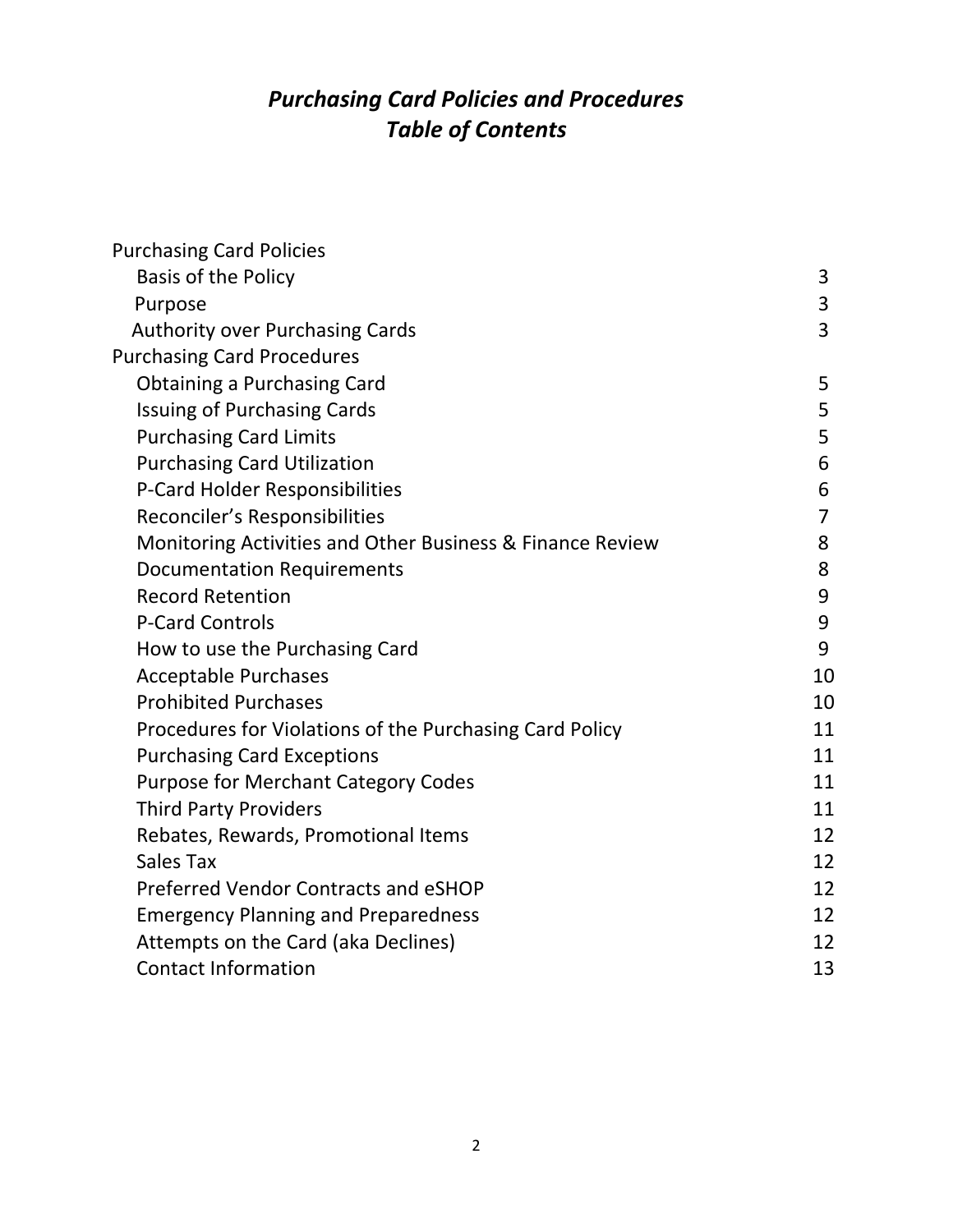# *Purchasing Card Policies and Procedures Table of Contents*

| <b>Purchasing Card Policies</b>                           |                |
|-----------------------------------------------------------|----------------|
| <b>Basis of the Policy</b>                                | 3              |
| Purpose                                                   | 3              |
| <b>Authority over Purchasing Cards</b>                    | 3              |
| <b>Purchasing Card Procedures</b>                         |                |
| <b>Obtaining a Purchasing Card</b>                        | 5              |
| <b>Issuing of Purchasing Cards</b>                        | 5              |
| <b>Purchasing Card Limits</b>                             | 5              |
| <b>Purchasing Card Utilization</b>                        | 6              |
| P-Card Holder Responsibilities                            | 6              |
| Reconciler's Responsibilities                             | $\overline{7}$ |
| Monitoring Activities and Other Business & Finance Review | 8              |
| <b>Documentation Requirements</b>                         | 8              |
| <b>Record Retention</b>                                   | 9              |
| <b>P-Card Controls</b>                                    | 9              |
| How to use the Purchasing Card                            | 9              |
| <b>Acceptable Purchases</b>                               | 10             |
| <b>Prohibited Purchases</b>                               | 10             |
| Procedures for Violations of the Purchasing Card Policy   | 11             |
| <b>Purchasing Card Exceptions</b>                         | 11             |
| <b>Purpose for Merchant Category Codes</b>                | 11             |
| <b>Third Party Providers</b>                              | 11             |
| Rebates, Rewards, Promotional Items                       | 12             |
| Sales Tax                                                 | 12             |
| Preferred Vendor Contracts and eSHOP                      | 12             |
| <b>Emergency Planning and Preparedness</b>                | 12             |
| Attempts on the Card (aka Declines)                       | 12             |
| <b>Contact Information</b>                                | 13             |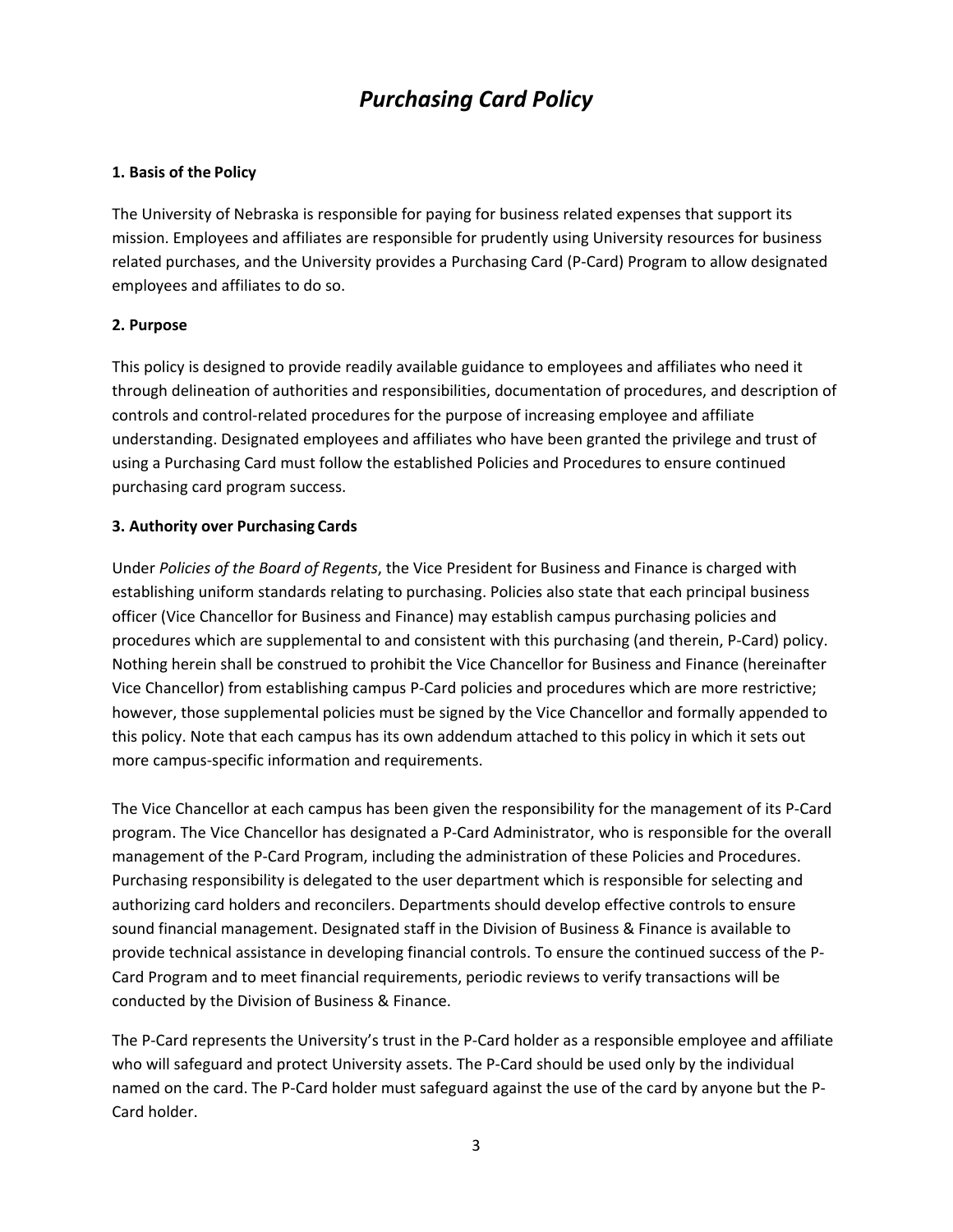# *Purchasing Card Policy*

#### **1. Basis of the Policy**

The University of Nebraska is responsible for paying for business related expenses that support its mission. Employees and affiliates are responsible for prudently using University resources for business related purchases, and the University provides a Purchasing Card (P‐Card) Program to allow designated employees and affiliates to do so.

#### **2. Purpose**

This policy is designed to provide readily available guidance to employees and affiliates who need it through delineation of authorities and responsibilities, documentation of procedures, and description of controls and control‐related procedures for the purpose of increasing employee and affiliate understanding. Designated employees and affiliates who have been granted the privilege and trust of using a Purchasing Card must follow the established Policies and Procedures to ensure continued purchasing card program success.

# **3. Authority over Purchasing Cards**

Under *Policies of the Board of Regents*, the Vice President for Business and Finance is charged with establishing uniform standards relating to purchasing. Policies also state that each principal business officer (Vice Chancellor for Business and Finance) may establish campus purchasing policies and procedures which are supplemental to and consistent with this purchasing (and therein, P‐Card) policy. Nothing herein shall be construed to prohibit the Vice Chancellor for Business and Finance (hereinafter Vice Chancellor) from establishing campus P‐Card policies and procedures which are more restrictive; however, those supplemental policies must be signed by the Vice Chancellor and formally appended to this policy. Note that each campus has its own addendum attached to this policy in which it sets out more campus‐specific information and requirements.

The Vice Chancellor at each campus has been given the responsibility for the management of its P‐Card program. The Vice Chancellor has designated a P‐Card Administrator, who is responsible for the overall management of the P-Card Program, including the administration of these Policies and Procedures. Purchasing responsibility is delegated to the user department which is responsible for selecting and authorizing card holders and reconcilers. Departments should develop effective controls to ensure sound financial management. Designated staff in the Division of Business & Finance is available to provide technical assistance in developing financial controls. To ensure the continued success of the P‐ Card Program and to meet financial requirements, periodic reviews to verify transactions will be conducted by the Division of Business & Finance.

The P‐Card represents the University's trust in the P‐Card holder as a responsible employee and affiliate who will safeguard and protect University assets. The P-Card should be used only by the individual named on the card. The P-Card holder must safeguard against the use of the card by anyone but the P-Card holder.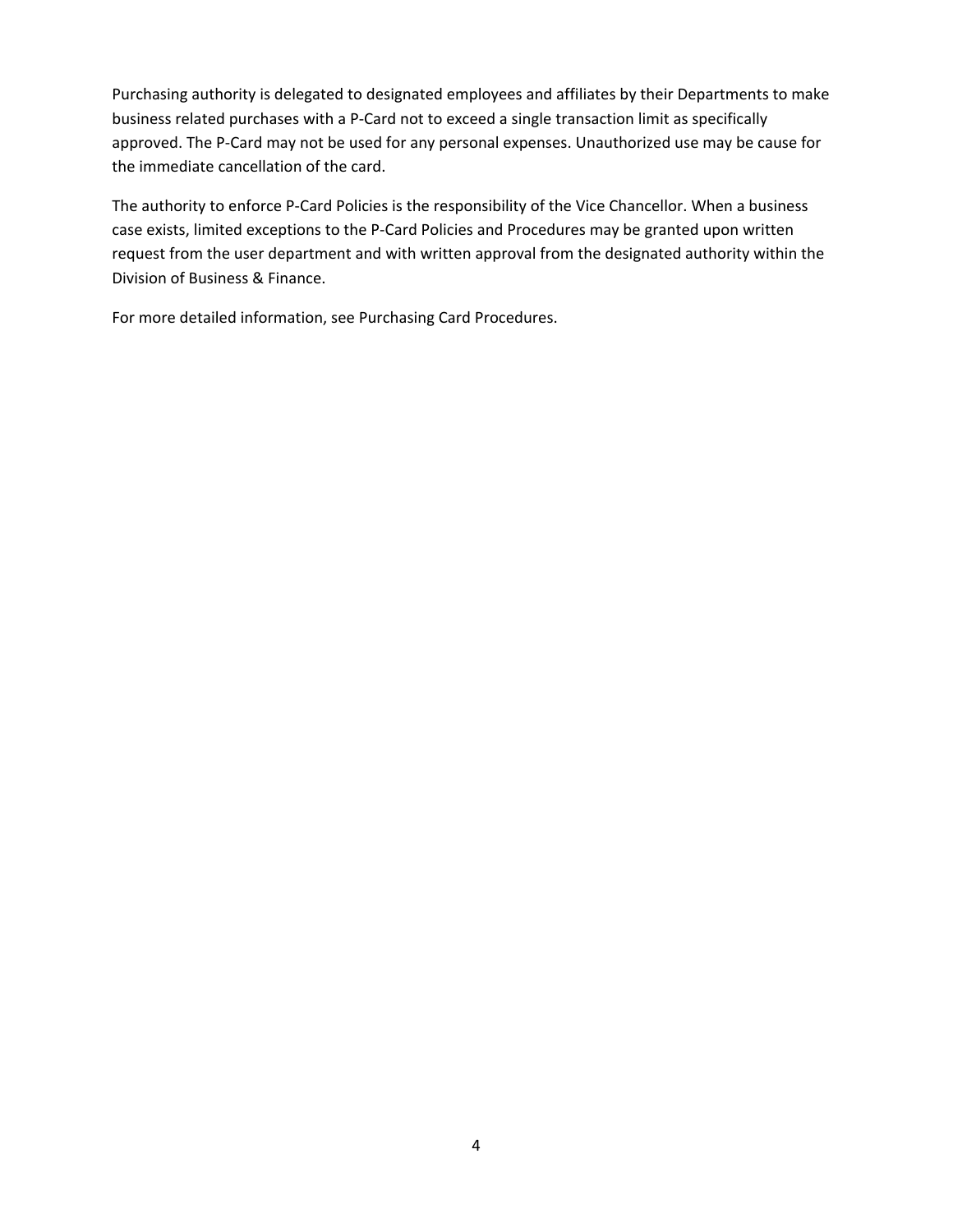Purchasing authority is delegated to designated employees and affiliates by their Departments to make business related purchases with a P‐Card not to exceed a single transaction limit as specifically approved. The P‐Card may not be used for any personal expenses. Unauthorized use may be cause for the immediate cancellation of the card.

The authority to enforce P‐Card Policies is the responsibility of the Vice Chancellor. When a business case exists, limited exceptions to the P‐Card Policies and Procedures may be granted upon written request from the user department and with written approval from the designated authority within the Division of Business & Finance.

For more detailed information, see Purchasing Card Procedures.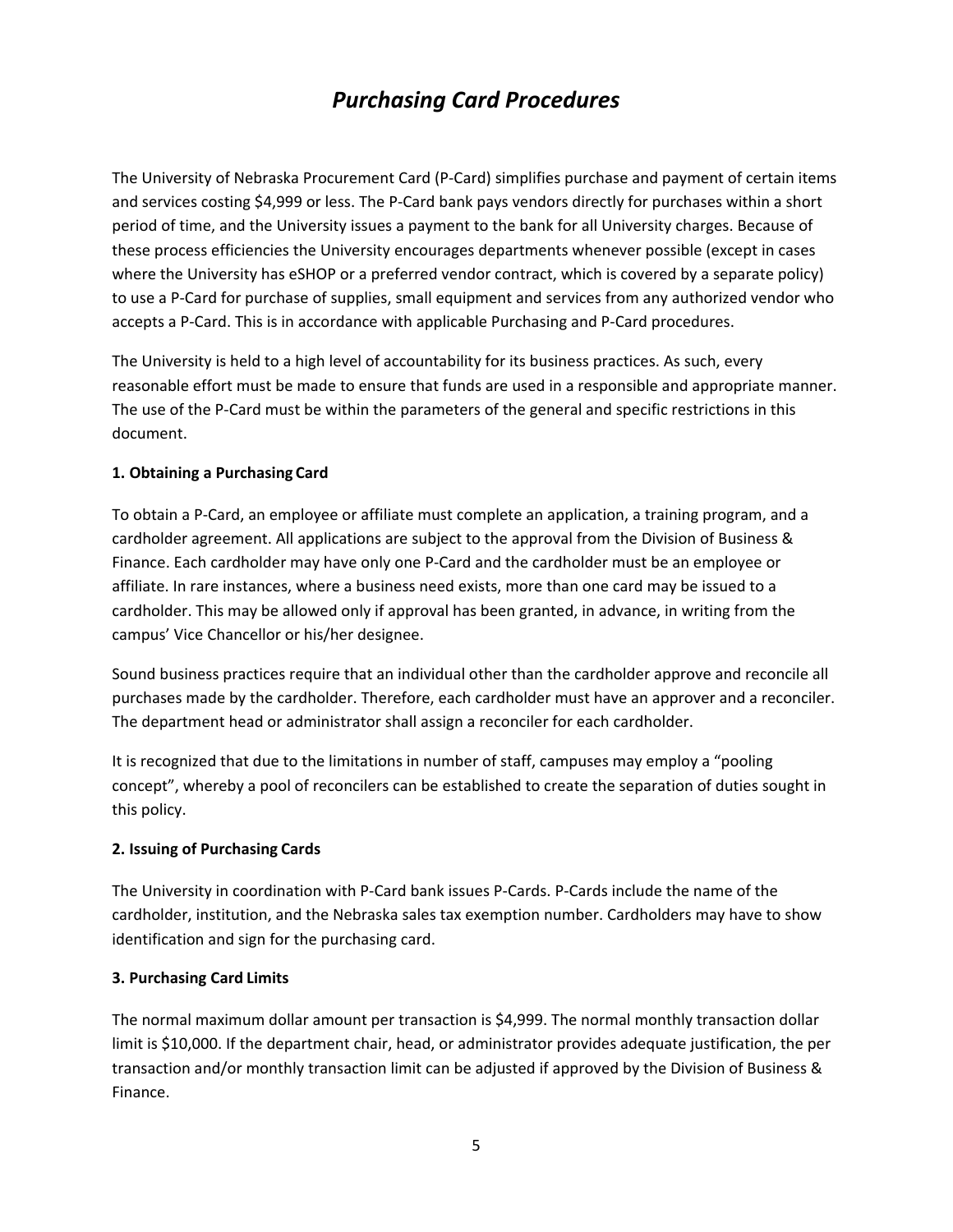# *Purchasing Card Procedures*

The University of Nebraska Procurement Card (P‐Card) simplifies purchase and payment of certain items and services costing \$4,999 or less. The P‐Card bank pays vendors directly for purchases within a short period of time, and the University issues a payment to the bank for all University charges. Because of these process efficiencies the University encourages departments whenever possible (except in cases where the University has eSHOP or a preferred vendor contract, which is covered by a separate policy) to use a P‐Card for purchase of supplies, small equipment and services from any authorized vendor who accepts a P‐Card. This is in accordance with applicable Purchasing and P‐Card procedures.

The University is held to a high level of accountability for its business practices. As such, every reasonable effort must be made to ensure that funds are used in a responsible and appropriate manner. The use of the P-Card must be within the parameters of the general and specific restrictions in this document.

#### **1. Obtaining a Purchasing Card**

To obtain a P‐Card, an employee or affiliate must complete an application, a training program, and a cardholder agreement. All applications are subject to the approval from the Division of Business & Finance. Each cardholder may have only one P‐Card and the cardholder must be an employee or affiliate. In rare instances, where a business need exists, more than one card may be issued to a cardholder. This may be allowed only if approval has been granted, in advance, in writing from the campus' Vice Chancellor or his/her designee.

Sound business practices require that an individual other than the cardholder approve and reconcile all purchases made by the cardholder. Therefore, each cardholder must have an approver and a reconciler. The department head or administrator shall assign a reconciler for each cardholder.

It is recognized that due to the limitations in number of staff, campuses may employ a "pooling concept", whereby a pool of reconcilers can be established to create the separation of duties sought in this policy.

#### **2. Issuing of Purchasing Cards**

The University in coordination with P-Card bank issues P-Cards. P-Cards include the name of the cardholder, institution, and the Nebraska sales tax exemption number. Cardholders may have to show identification and sign for the purchasing card.

#### **3. Purchasing Card Limits**

The normal maximum dollar amount per transaction is \$4,999. The normal monthly transaction dollar limit is \$10,000. If the department chair, head, or administrator provides adequate justification, the per transaction and/or monthly transaction limit can be adjusted if approved by the Division of Business & Finance.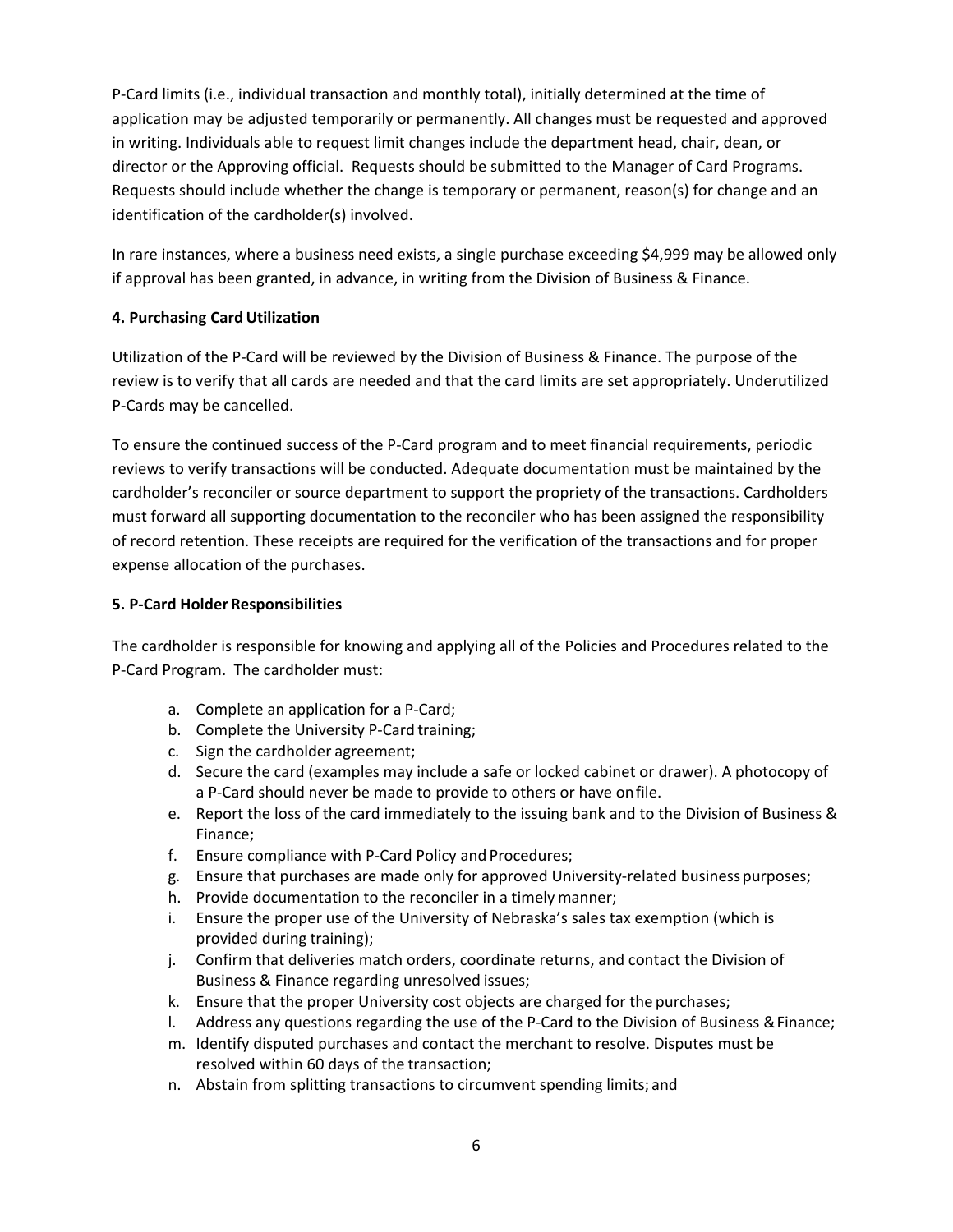P‐Card limits (i.e., individual transaction and monthly total), initially determined at the time of application may be adjusted temporarily or permanently. All changes must be requested and approved in writing. Individuals able to request limit changes include the department head, chair, dean, or director or the Approving official. Requests should be submitted to the Manager of Card Programs. Requests should include whether the change is temporary or permanent, reason(s) for change and an identification of the cardholder(s) involved.

In rare instances, where a business need exists, a single purchase exceeding \$4,999 may be allowed only if approval has been granted, in advance, in writing from the Division of Business & Finance.

# **4. Purchasing Card Utilization**

Utilization of the P-Card will be reviewed by the Division of Business & Finance. The purpose of the review is to verify that all cards are needed and that the card limits are set appropriately. Underutilized P‐Cards may be cancelled.

To ensure the continued success of the P‐Card program and to meet financial requirements, periodic reviews to verify transactions will be conducted. Adequate documentation must be maintained by the cardholder's reconciler or source department to support the propriety of the transactions. Cardholders must forward all supporting documentation to the reconciler who has been assigned the responsibility of record retention. These receipts are required for the verification of the transactions and for proper expense allocation of the purchases.

# **5. P‐Card Holder Responsibilities**

The cardholder is responsible for knowing and applying all of the Policies and Procedures related to the P‐Card Program. The cardholder must:

- a. Complete an application for a P‐Card;
- b. Complete the University P‐Card training;
- c. Sign the cardholder agreement;
- d. Secure the card (examples may include a safe or locked cabinet or drawer). A photocopy of a P‐Card should never be made to provide to others or have on file.
- e. Report the loss of the card immediately to the issuing bank and to the Division of Business & Finance;
- f. Ensure compliance with P‐Card Policy and Procedures;
- g. Ensure that purchases are made only for approved University‐related business purposes;
- h. Provide documentation to the reconciler in a timely manner;
- i. Ensure the proper use of the University of Nebraska's sales tax exemption (which is provided during training);
- j. Confirm that deliveries match orders, coordinate returns, and contact the Division of Business & Finance regarding unresolved issues;
- k. Ensure that the proper University cost objects are charged for the purchases;
- l. Address any questions regarding the use of the P‐Card to the Division of Business & Finance;
- m. Identify disputed purchases and contact the merchant to resolve. Disputes must be resolved within 60 days of the transaction;
- n. Abstain from splitting transactions to circumvent spending limits; and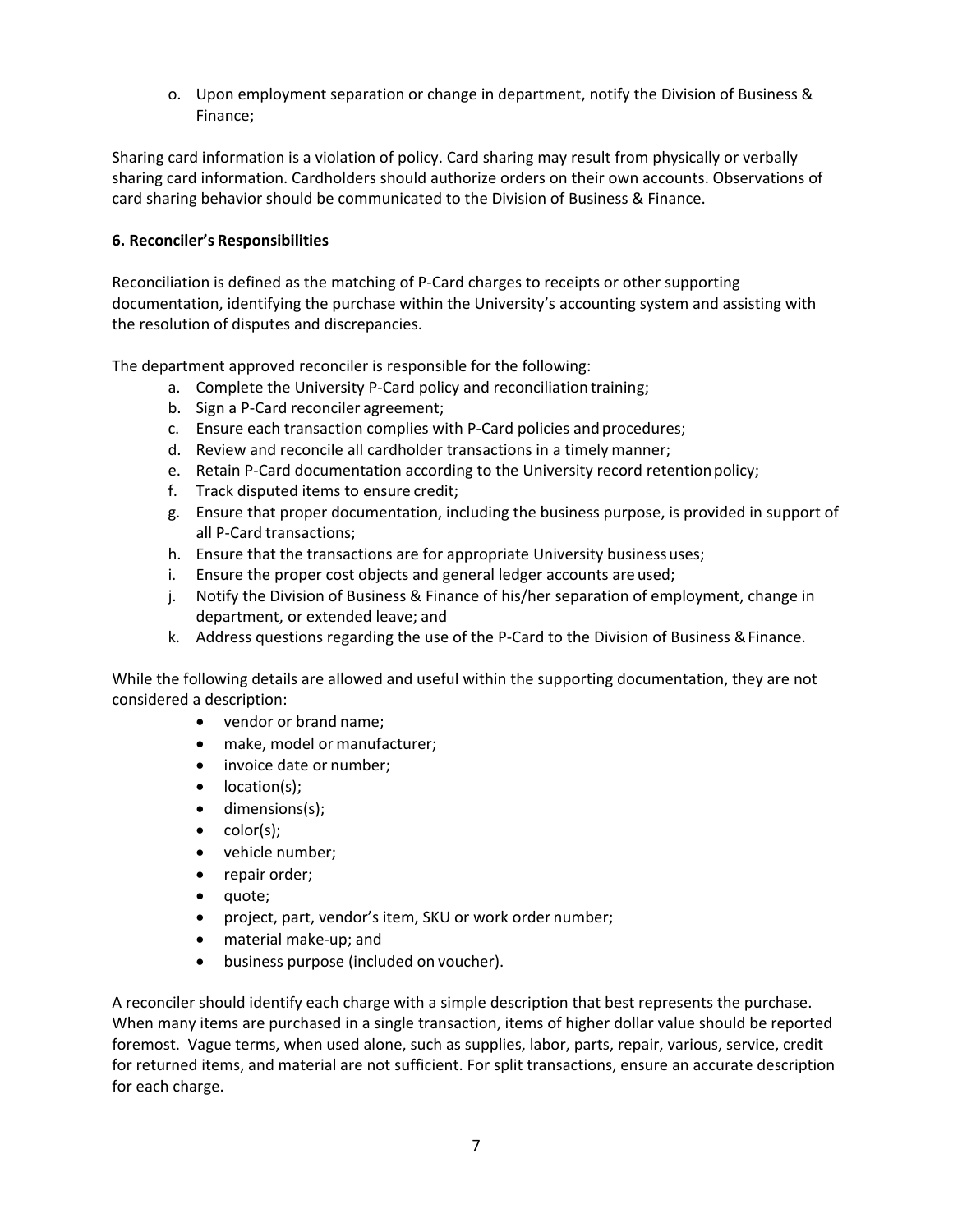o. Upon employment separation or change in department, notify the Division of Business & Finance;

Sharing card information is a violation of policy. Card sharing may result from physically or verbally sharing card information. Cardholders should authorize orders on their own accounts. Observations of card sharing behavior should be communicated to the Division of Business & Finance.

### **6. Reconciler's Responsibilities**

Reconciliation is defined as the matching of P‐Card charges to receipts or other supporting documentation, identifying the purchase within the University's accounting system and assisting with the resolution of disputes and discrepancies.

The department approved reconciler is responsible for the following:

- a. Complete the University P‐Card policy and reconciliation training;
- b. Sign a P‐Card reconciler agreement;
- c. Ensure each transaction complies with P‐Card policies and procedures;
- d. Review and reconcile all cardholder transactions in a timely manner;
- e. Retain P-Card documentation according to the University record retention policy;
- f. Track disputed items to ensure credit;
- g. Ensure that proper documentation, including the business purpose, is provided in support of all P‐Card transactions;
- h. Ensure that the transactions are for appropriate University business uses;
- i. Ensure the proper cost objects and general ledger accounts are used;
- j. Notify the Division of Business & Finance of his/her separation of employment, change in department, or extended leave; and
- k. Address questions regarding the use of the P‐Card to the Division of Business & Finance.

While the following details are allowed and useful within the supporting documentation, they are not considered a description:

- vendor or brand name;
- make, model or manufacturer;
- invoice date or number;
- location(s);
- dimensions(s);
- $\bullet$  color(s);
- vehicle number;
- repair order;
- quote;
- project, part, vendor's item, SKU or work order number;
- material make-up; and
- business purpose (included on voucher).

A reconciler should identify each charge with a simple description that best represents the purchase. When many items are purchased in a single transaction, items of higher dollar value should be reported foremost. Vague terms, when used alone, such as supplies, labor, parts, repair, various, service, credit for returned items, and material are not sufficient. For split transactions, ensure an accurate description for each charge.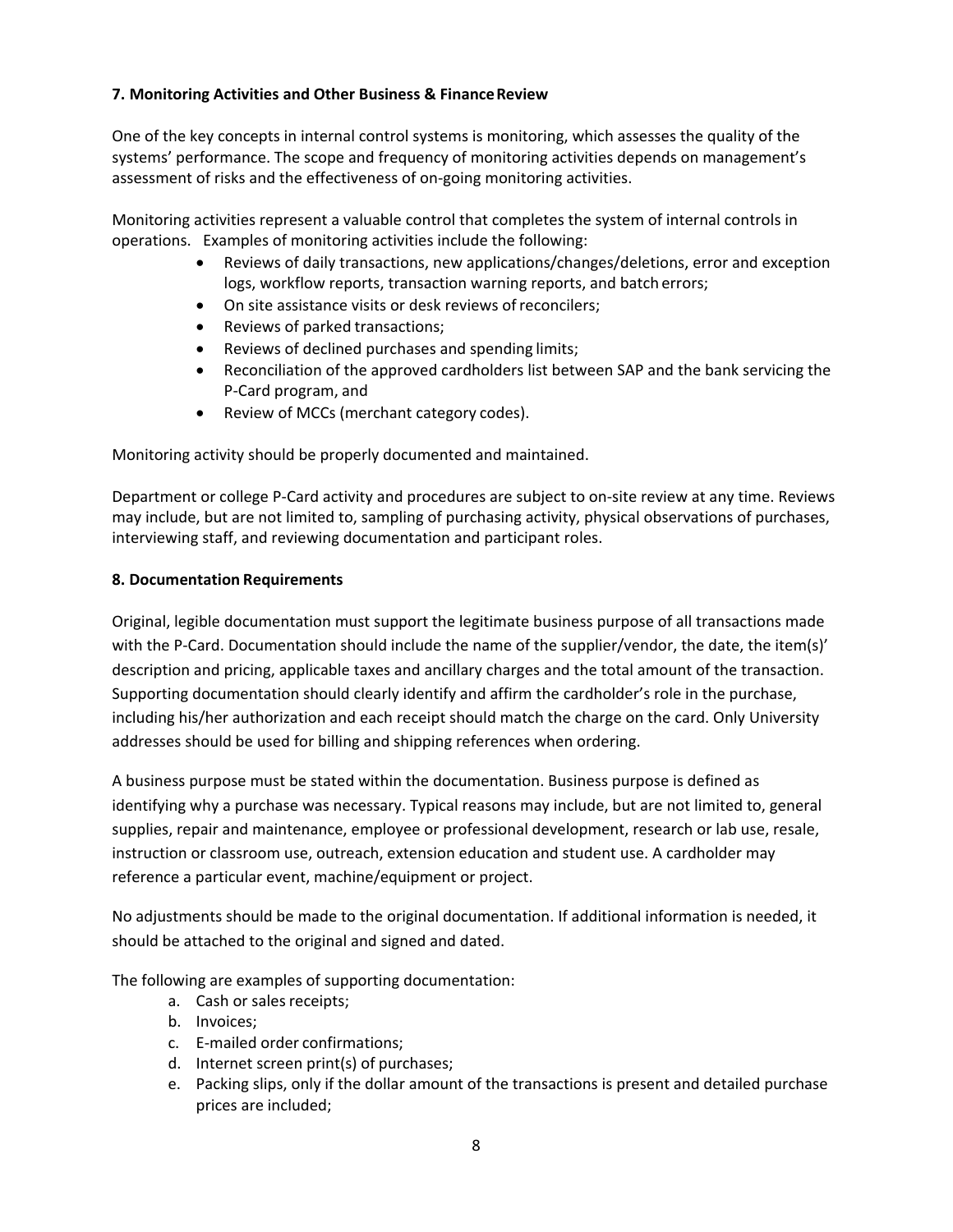# **7. Monitoring Activities and Other Business & Finance Review**

One of the key concepts in internal control systems is monitoring, which assesses the quality of the systems' performance. The scope and frequency of monitoring activities depends on management's assessment of risks and the effectiveness of on‐going monitoring activities.

Monitoring activities represent a valuable control that completes the system of internal controls in operations. Examples of monitoring activities include the following:

- Reviews of daily transactions, new applications/changes/deletions, error and exception logs, workflow reports, transaction warning reports, and batch errors;
- On site assistance visits or desk reviews of reconcilers;
- Reviews of parked transactions;
- Reviews of declined purchases and spending limits;
- Reconciliation of the approved cardholders list between SAP and the bank servicing the P‐Card program, and
- Review of MCCs (merchant category codes).

Monitoring activity should be properly documented and maintained.

Department or college P‐Card activity and procedures are subject to on‐site review at any time. Reviews may include, but are not limited to, sampling of purchasing activity, physical observations of purchases, interviewing staff, and reviewing documentation and participant roles.

#### **8. Documentation Requirements**

Original, legible documentation must support the legitimate business purpose of all transactions made with the P-Card. Documentation should include the name of the supplier/vendor, the date, the item(s)' description and pricing, applicable taxes and ancillary charges and the total amount of the transaction. Supporting documentation should clearly identify and affirm the cardholder's role in the purchase, including his/her authorization and each receipt should match the charge on the card. Only University addresses should be used for billing and shipping references when ordering.

A business purpose must be stated within the documentation. Business purpose is defined as identifying why a purchase was necessary. Typical reasons may include, but are not limited to, general supplies, repair and maintenance, employee or professional development, research or lab use, resale, instruction or classroom use, outreach, extension education and student use. A cardholder may reference a particular event, machine/equipment or project.

No adjustments should be made to the original documentation. If additional information is needed, it should be attached to the original and signed and dated.

The following are examples of supporting documentation:

- a. Cash or sales receipts;
- b. Invoices;
- c. E‐mailed order confirmations;
- d. Internet screen print(s) of purchases;
- e. Packing slips, only if the dollar amount of the transactions is present and detailed purchase prices are included;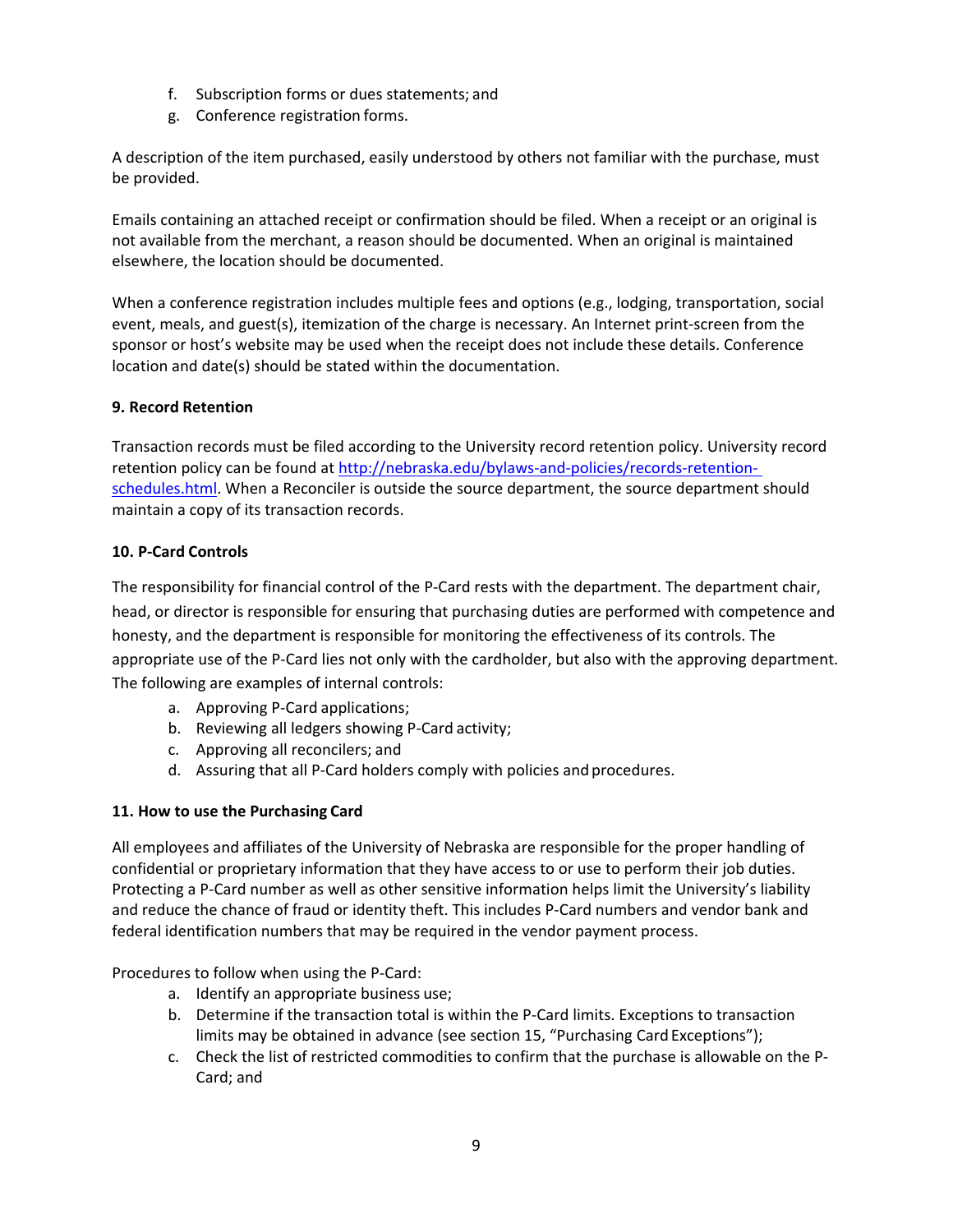- f. Subscription forms or dues statements; and
- g. Conference registration forms.

A description of the item purchased, easily understood by others not familiar with the purchase, must be provided.

Emails containing an attached receipt or confirmation should be filed. When a receipt or an original is not available from the merchant, a reason should be documented. When an original is maintained elsewhere, the location should be documented.

When a conference registration includes multiple fees and options (e.g., lodging, transportation, social event, meals, and guest(s), itemization of the charge is necessary. An Internet print‐screen from the sponsor or host's website may be used when the receipt does not include these details. Conference location and date(s) should be stated within the documentation.

# **9. Record Retention**

Transaction records must be filed according to the University record retention policy. University record retention policy can be found at http://nebraska.edu/bylaws-and-policies/records-retentionschedules.html. When a Reconciler is outside the source department, the source department should maintain a copy of its transaction records.

# **10. P‐Card Controls**

The responsibility for financial control of the P‐Card rests with the department. The department chair, head, or director is responsible for ensuring that purchasing duties are performed with competence and honesty, and the department is responsible for monitoring the effectiveness of its controls. The appropriate use of the P‐Card lies not only with the cardholder, but also with the approving department. The following are examples of internal controls:

- a. Approving P‐Card applications;
- b. Reviewing all ledgers showing P‐Card activity;
- c. Approving all reconcilers; and
- d. Assuring that all P‐Card holders comply with policies and procedures.

# **11. How to use the Purchasing Card**

All employees and affiliates of the University of Nebraska are responsible for the proper handling of confidential or proprietary information that they have access to or use to perform their job duties. Protecting a P‐Card number as well as other sensitive information helps limit the University's liability and reduce the chance of fraud or identity theft. This includes P‐Card numbers and vendor bank and federal identification numbers that may be required in the vendor payment process.

Procedures to follow when using the P‐Card:

- a. Identify an appropriate business use;
- b. Determine if the transaction total is within the P‐Card limits. Exceptions to transaction limits may be obtained in advance (see section 15, "Purchasing Card Exceptions");
- c. Check the list of restricted commodities to confirm that the purchase is allowable on the P‐ Card; and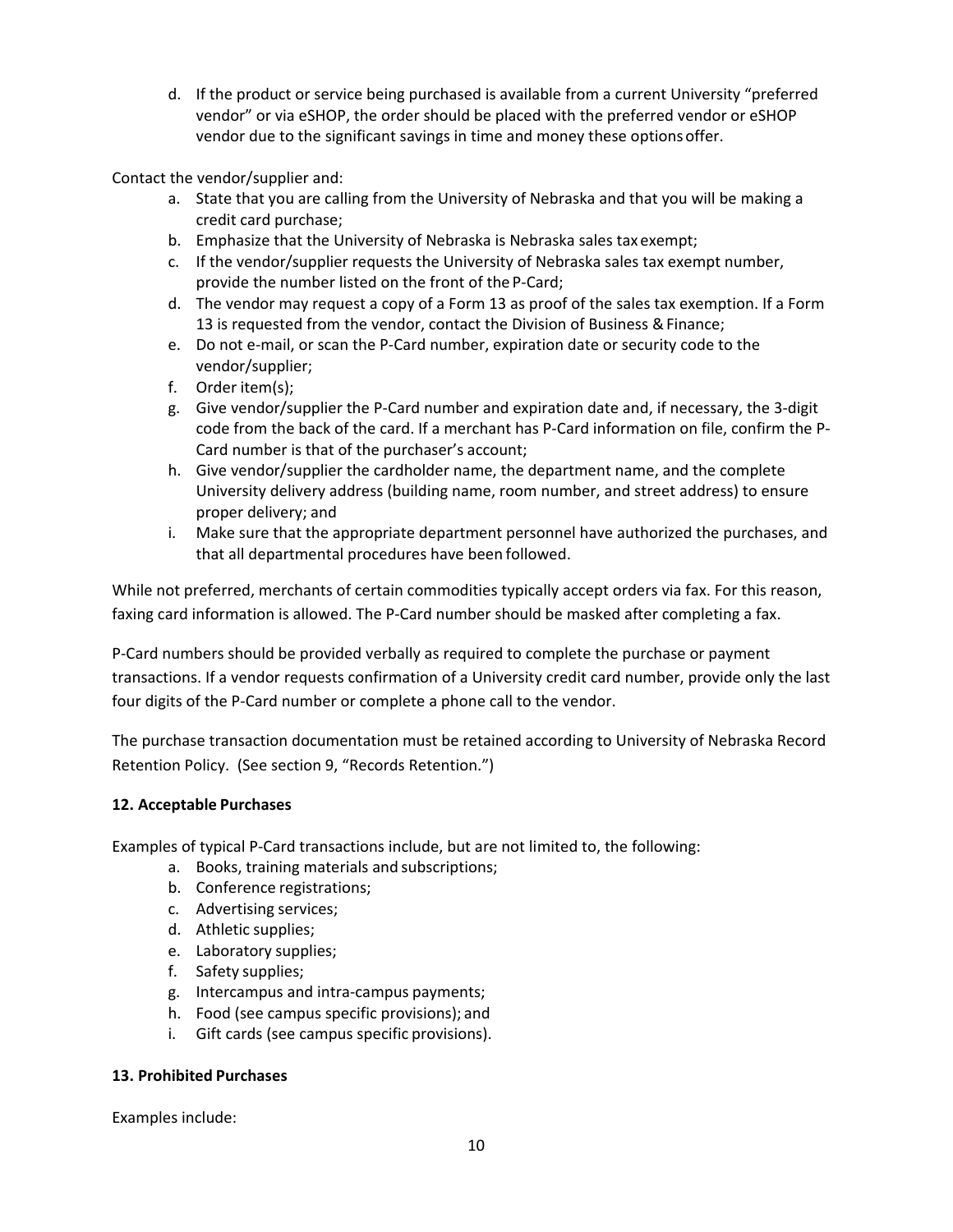d. If the product or service being purchased is available from a current University "preferred vendor" or via eSHOP, the order should be placed with the preferred vendor or eSHOP vendor due to the significant savings in time and money these options offer.

Contact the vendor/supplier and:

- a. State that you are calling from the University of Nebraska and that you will be making a credit card purchase;
- b. Emphasize that the University of Nebraska is Nebraska sales tax exempt;
- c. If the vendor/supplier requests the University of Nebraska sales tax exempt number, provide the number listed on the front of the P‐Card;
- d. The vendor may request a copy of a Form 13 as proof of the sales tax exemption. If a Form 13 is requested from the vendor, contact the Division of Business & Finance;
- e. Do not e‐mail, or scan the P‐Card number, expiration date or security code to the vendor/supplier;
- f. Order item(s);
- g. Give vendor/supplier the P‐Card number and expiration date and, if necessary, the 3‐digit code from the back of the card. If a merchant has P-Card information on file, confirm the P-Card number is that of the purchaser's account;
- h. Give vendor/supplier the cardholder name, the department name, and the complete University delivery address (building name, room number, and street address) to ensure proper delivery; and
- i. Make sure that the appropriate department personnel have authorized the purchases, and that all departmental procedures have been followed.

While not preferred, merchants of certain commodities typically accept orders via fax. For this reason, faxing card information is allowed. The P‐Card number should be masked after completing a fax.

P‐Card numbers should be provided verbally as required to complete the purchase or payment transactions. If a vendor requests confirmation of a University credit card number, provide only the last four digits of the P‐Card number or complete a phone call to the vendor.

The purchase transaction documentation must be retained according to University of Nebraska Record Retention Policy. (See section 9, "Records Retention.")

# **12. Acceptable Purchases**

Examples of typical P‐Card transactions include, but are not limited to, the following:

- a. Books, training materials and subscriptions;
- b. Conference registrations;
- c. Advertising services;
- d. Athletic supplies;
- e. Laboratory supplies;
- f. Safety supplies;
- g. Intercampus and intra‐campus payments;
- h. Food (see campus specific provisions); and
- i. Gift cards (see campus specific provisions).

#### **13. Prohibited Purchases**

Examples include: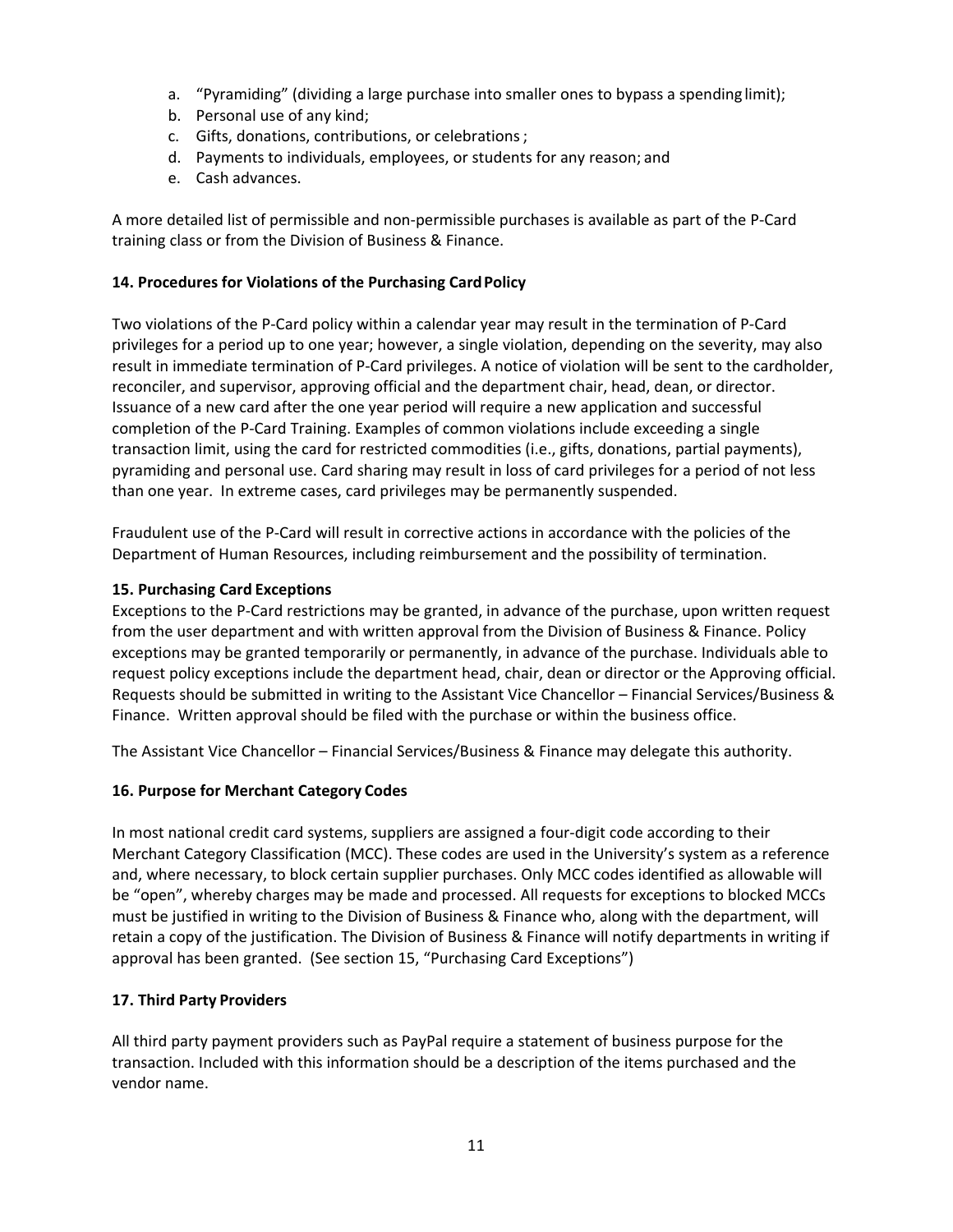- a. "Pyramiding" (dividing a large purchase into smaller ones to bypass a spending limit);
- b. Personal use of any kind;
- c. Gifts, donations, contributions, or celebrations ;
- d. Payments to individuals, employees, or students for any reason; and
- e. Cash advances.

A more detailed list of permissible and non‐permissible purchases is available as part of the P‐Card training class or from the Division of Business & Finance.

#### **14. Procedures for Violations of the Purchasing Card Policy**

Two violations of the P‐Card policy within a calendar year may result in the termination of P‐Card privileges for a period up to one year; however, a single violation, depending on the severity, may also result in immediate termination of P‐Card privileges. A notice of violation will be sent to the cardholder, reconciler, and supervisor, approving official and the department chair, head, dean, or director. Issuance of a new card after the one year period will require a new application and successful completion of the P‐Card Training. Examples of common violations include exceeding a single transaction limit, using the card for restricted commodities (i.e., gifts, donations, partial payments), pyramiding and personal use. Card sharing may result in loss of card privileges for a period of not less than one year. In extreme cases, card privileges may be permanently suspended.

Fraudulent use of the P‐Card will result in corrective actions in accordance with the policies of the Department of Human Resources, including reimbursement and the possibility of termination.

#### **15. Purchasing Card Exceptions**

Exceptions to the P‐Card restrictions may be granted, in advance of the purchase, upon written request from the user department and with written approval from the Division of Business & Finance. Policy exceptions may be granted temporarily or permanently, in advance of the purchase. Individuals able to request policy exceptions include the department head, chair, dean or director or the Approving official. Requests should be submitted in writing to the Assistant Vice Chancellor – Financial Services/Business & Finance. Written approval should be filed with the purchase or within the business office.

The Assistant Vice Chancellor – Financial Services/Business & Finance may delegate this authority.

#### **16. Purpose for Merchant Category Codes**

In most national credit card systems, suppliers are assigned a four‐digit code according to their Merchant Category Classification (MCC). These codes are used in the University's system as a reference and, where necessary, to block certain supplier purchases. Only MCC codes identified as allowable will be "open", whereby charges may be made and processed. All requests for exceptions to blocked MCCs must be justified in writing to the Division of Business & Finance who, along with the department, will retain a copy of the justification. The Division of Business & Finance will notify departments in writing if approval has been granted. (See section 15, "Purchasing Card Exceptions")

#### **17. Third Party Providers**

All third party payment providers such as PayPal require a statement of business purpose for the transaction. Included with this information should be a description of the items purchased and the vendor name.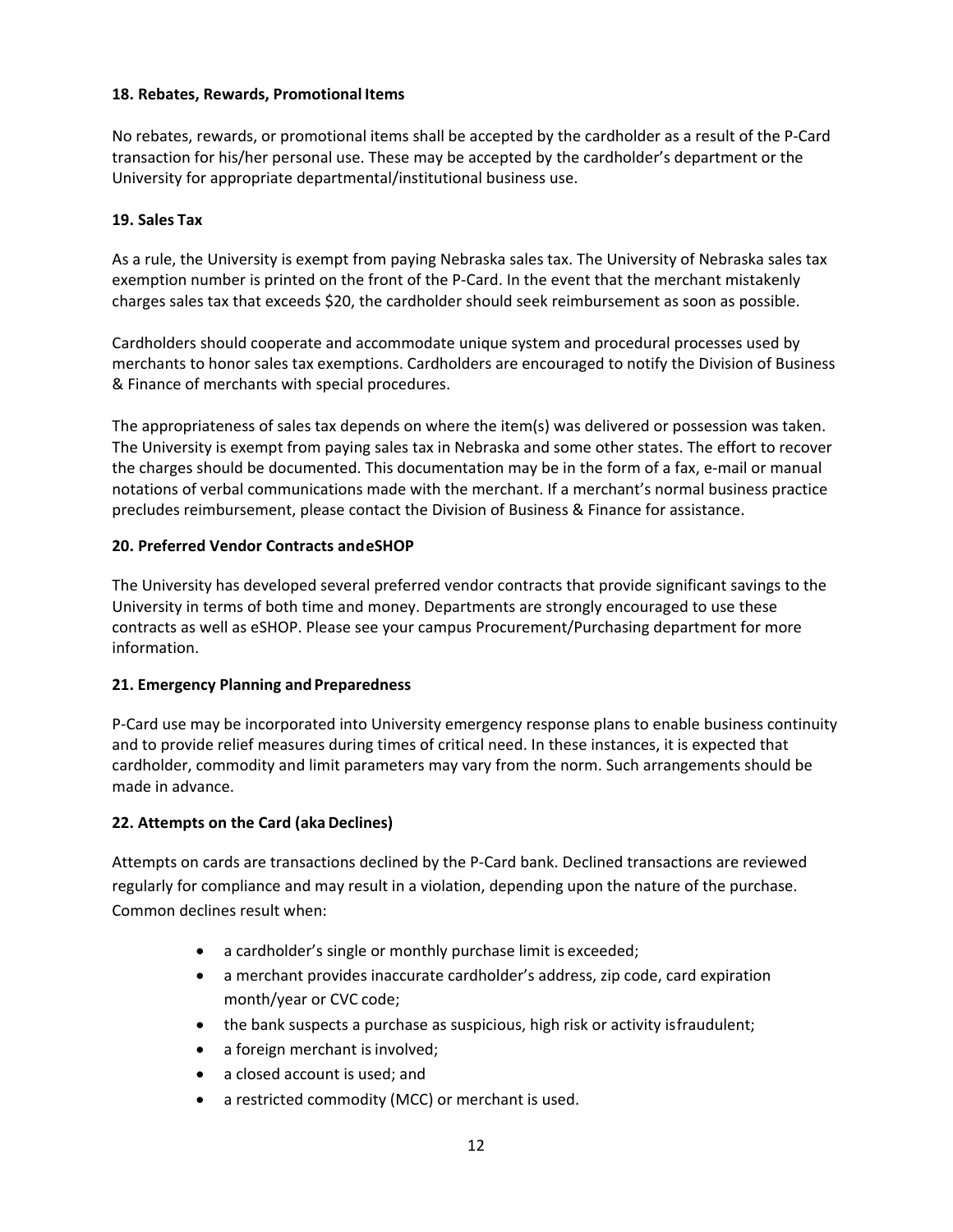#### **18. Rebates, Rewards, Promotional Items**

No rebates, rewards, or promotional items shall be accepted by the cardholder as a result of the P‐Card transaction for his/her personal use. These may be accepted by the cardholder's department or the University for appropriate departmental/institutional business use.

#### **19. Sales Tax**

As a rule, the University is exempt from paying Nebraska sales tax. The University of Nebraska sales tax exemption number is printed on the front of the P-Card. In the event that the merchant mistakenly charges sales tax that exceeds \$20, the cardholder should seek reimbursement as soon as possible.

Cardholders should cooperate and accommodate unique system and procedural processes used by merchants to honor sales tax exemptions. Cardholders are encouraged to notify the Division of Business & Finance of merchants with special procedures.

The appropriateness of sales tax depends on where the item(s) was delivered or possession was taken. The University is exempt from paying sales tax in Nebraska and some other states. The effort to recover the charges should be documented. This documentation may be in the form of a fax, e-mail or manual notations of verbal communications made with the merchant. If a merchant's normal business practice precludes reimbursement, please contact the Division of Business & Finance for assistance.

#### **20. Preferred Vendor Contracts and eSHOP**

The University has developed several preferred vendor contracts that provide significant savings to the University in terms of both time and money. Departments are strongly encouraged to use these contracts as well as eSHOP. Please see your campus Procurement/Purchasing department for more information.

# **21. Emergency Planning and Preparedness**

P‐Card use may be incorporated into University emergency response plans to enable business continuity and to provide relief measures during times of critical need. In these instances, it is expected that cardholder, commodity and limit parameters may vary from the norm. Such arrangements should be made in advance.

# **22. Attempts on the Card (aka Declines)**

Attempts on cards are transactions declined by the P‐Card bank. Declined transactions are reviewed regularly for compliance and may result in a violation, depending upon the nature of the purchase. Common declines result when:

- a cardholder's single or monthly purchase limit is exceeded;
- a merchant provides inaccurate cardholder's address, zip code, card expiration month/year or CVC code;
- the bank suspects a purchase as suspicious, high risk or activity is fraudulent;
- a foreign merchant is involved;
- a closed account is used; and
- a restricted commodity (MCC) or merchant is used.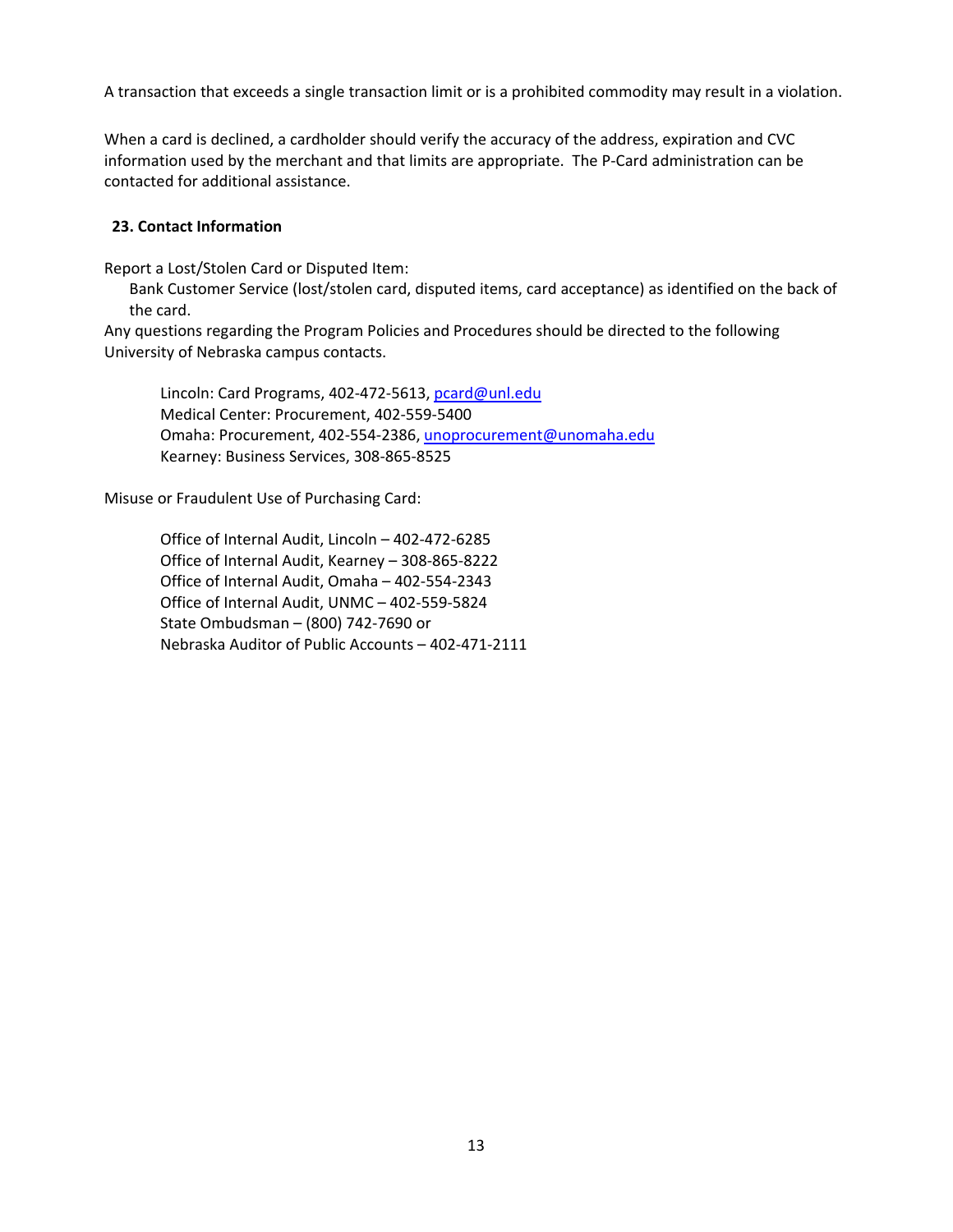A transaction that exceeds a single transaction limit or is a prohibited commodity may result in a violation.

When a card is declined, a cardholder should verify the accuracy of the address, expiration and CVC information used by the merchant and that limits are appropriate. The P‐Card administration can be contacted for additional assistance.

#### **23. Contact Information**

Report a Lost/Stolen Card or Disputed Item:

 Bank Customer Service (lost/stolen card, disputed items, card acceptance) as identified on the back of the card.

Any questions regarding the Program Policies and Procedures should be directed to the following University of Nebraska campus contacts.

Lincoln: Card Programs, 402-472-5613, pcard@unl.edu Medical Center: Procurement, 402‐559‐5400 Omaha: Procurement, 402‐554‐2386, unoprocurement@unomaha.edu Kearney: Business Services, 308‐865‐8525

Misuse or Fraudulent Use of Purchasing Card:

 Office of Internal Audit, Lincoln – 402‐472‐6285 Office of Internal Audit, Kearney – 308‐865‐8222 Office of Internal Audit, Omaha – 402‐554‐2343 Office of Internal Audit, UNMC – 402‐559‐5824 State Ombudsman – (800) 742‐7690 or Nebraska Auditor of Public Accounts – 402‐471‐2111